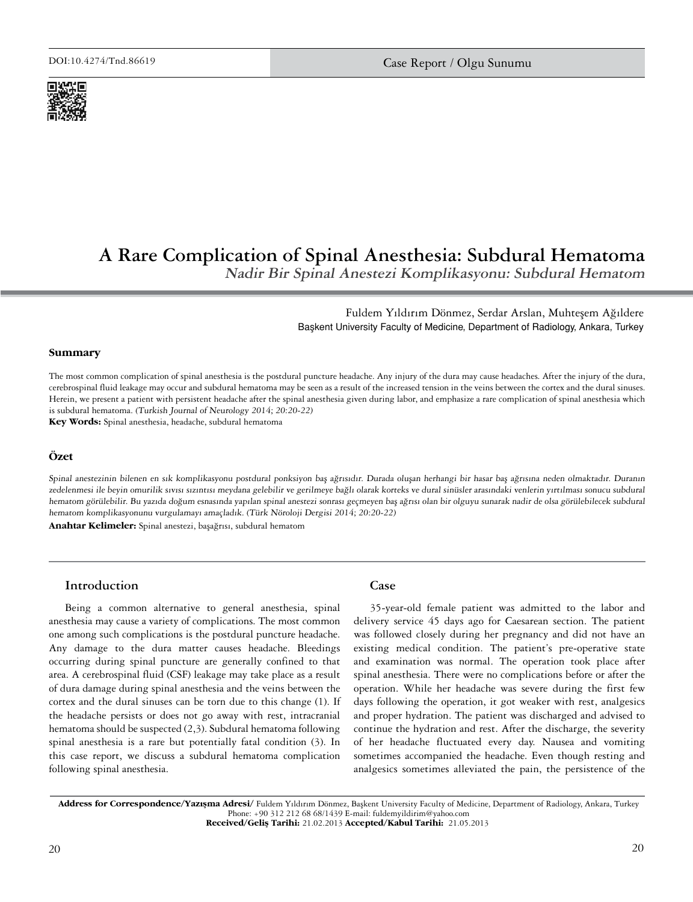

# **A Rare Complication of Spinal Anesthesia: Subdural Hematoma Nadir Bir Spinal Anestezi Komplikasyonu: Subdural Hematom**

Fuldem Yıldırım Dönmez, Serdar Arslan, Muhteşem Ağıldere Başkent University Faculty of Medicine, Department of Radiology, Ankara, Turkey

#### **Summary**

The most common complication of spinal anesthesia is the postdural puncture headache. Any injury of the dura may cause headaches. After the injury of the dura, cerebrospinal fluid leakage may occur and subdural hematoma may be seen as a result of the increased tension in the veins between the cortex and the dural sinuses. Herein, we present a patient with persistent headache after the spinal anesthesia given during labor, and emphasize a rare complication of spinal anesthesia which is subdural hematoma. (Turkish Journal of Neurology 2014; 20:20-22)

**Key Words:** Spinal anesthesia, headache, subdural hematoma

### **Özet**

Spinal anestezinin bilenen en sık komplikasyonu postdural ponksiyon baş ağrısıdır. Durada oluşan herhangi bir hasar baş ağrısına neden olmaktadır. Duranın zedelenmesi ile beyin omurilik sıvısı sızıntısı meydana gelebilir ve gerilmeye bağlı olarak korteks ve dural sinüsler arasındaki venlerin yırtılması sonucu subdural hematom görülebilir. Bu yazıda doğum esnasında yapılan spinal anestezi sonrası geçmeyen baş ağrısı olan bir olguyu sunarak nadir de olsa görülebilecek subdural hematom komplikasyonunu vurgulamayı amaçladık. (Türk Nöroloji Dergisi 2014; 20:20-22)

**Anahtar Kelimeler:** Spinal anestezi, başağrısı, subdural hematom

## **Introduction**

Being a common alternative to general anesthesia, spinal anesthesia may cause a variety of complications. The most common one among such complications is the postdural puncture headache. Any damage to the dura matter causes headache. Bleedings occurring during spinal puncture are generally confined to that area. A cerebrospinal fluid (CSF) leakage may take place as a result of dura damage during spinal anesthesia and the veins between the cortex and the dural sinuses can be torn due to this change (1). If the headache persists or does not go away with rest, intracranial hematoma should be suspected (2,3). Subdural hematoma following spinal anesthesia is a rare but potentially fatal condition (3). In this case report, we discuss a subdural hematoma complication following spinal anesthesia.

#### **Case**

35-year-old female patient was admitted to the labor and delivery service 45 days ago for Caesarean section. The patient was followed closely during her pregnancy and did not have an existing medical condition. The patient's pre-operative state and examination was normal. The operation took place after spinal anesthesia. There were no complications before or after the operation. While her headache was severe during the first few days following the operation, it got weaker with rest, analgesics and proper hydration. The patient was discharged and advised to continue the hydration and rest. After the discharge, the severity of her headache fluctuated every day. Nausea and vomiting sometimes accompanied the headache. Even though resting and analgesics sometimes alleviated the pain, the persistence of the

Address for Correspondence/Yazışma Adresi/ Fuldem Yıldırım Dönmez, Başkent University Faculty of Medicine, Department of Radiology, Ankara, Turkey Phone: +90 312 212 68 68/1439 E-mail: fuldemyildirim@yahoo.com Received/Geliş Tarihi: 21.02.2013 Accepted/Kabul Tarihi: 21.05.2013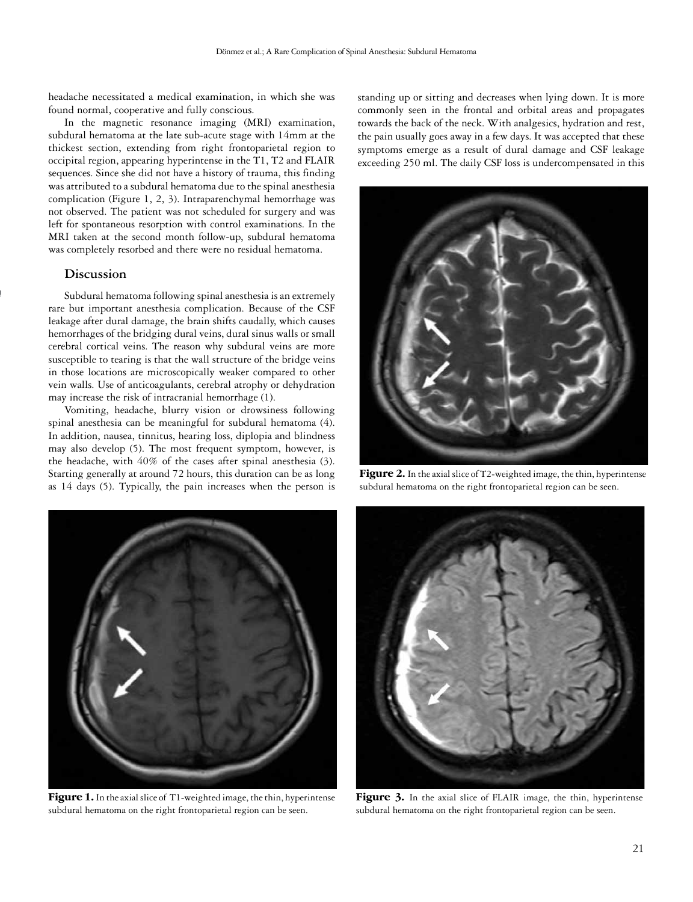headache necessitated a medical examination, in which she was found normal, cooperative and fully conscious.

In the magnetic resonance imaging (MRI) examination, subdural hematoma at the late sub-acute stage with 14mm at the thickest section, extending from right frontoparietal region to occipital region, appearing hyperintense in the T1, T2 and FLAIR sequences. Since she did not have a history of trauma, this finding was attributed to a subdural hematoma due to the spinal anesthesia complication (Figure 1, 2, 3). Intraparenchymal hemorrhage was not observed. The patient was not scheduled for surgery and was left for spontaneous resorption with control examinations. In the MRI taken at the second month follow-up, subdural hematoma was completely resorbed and there were no residual hematoma.

## **Discussion**

Subdural hematoma following spinal anesthesia is an extremely rare but important anesthesia complication. Because of the CSF leakage after dural damage, the brain shifts caudally, which causes hemorrhages of the bridging dural veins, dural sinus walls or small cerebral cortical veins. The reason why subdural veins are more susceptible to tearing is that the wall structure of the bridge veins in those locations are microscopically weaker compared to other vein walls. Use of anticoagulants, cerebral atrophy or dehydration may increase the risk of intracranial hemorrhage (1).

Vomiting, headache, blurry vision or drowsiness following spinal anesthesia can be meaningful for subdural hematoma (4). In addition, nausea, tinnitus, hearing loss, diplopia and blindness may also develop (5). The most frequent symptom, however, is the headache, with 40% of the cases after spinal anesthesia (3). Starting generally at around 72 hours, this duration can be as long as 14 days (5). Typically, the pain increases when the person is



Figure 1. In the axial slice of T1-weighted image, the thin, hyperintense subdural hematoma on the right frontoparietal region can be seen.

standing up or sitting and decreases when lying down. It is more commonly seen in the frontal and orbital areas and propagates towards the back of the neck. With analgesics, hydration and rest, the pain usually goes away in a few days. It was accepted that these symptoms emerge as a result of dural damage and CSF leakage exceeding 250 ml. The daily CSF loss is undercompensated in this



Figure 2. In the axial slice of T2-weighted image, the thin, hyperintense subdural hematoma on the right frontoparietal region can be seen.



Figure 3. In the axial slice of FLAIR image, the thin, hyperintense subdural hematoma on the right frontoparietal region can be seen.